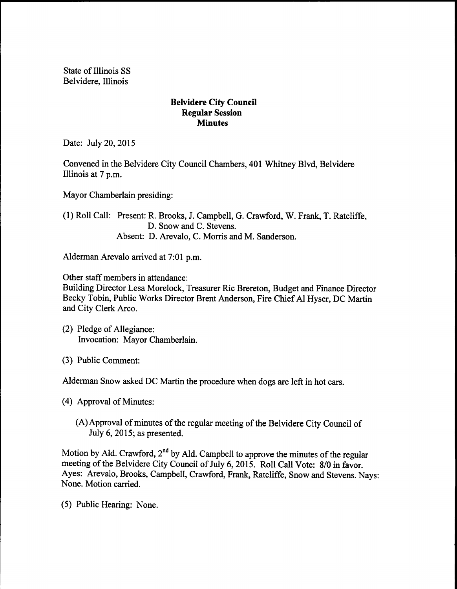State of Illinois SS Belvidere, Illinois

## Belvidere City Council Regular Session **Minutes**

Date: July 20, 2015

Convened in the Belvidere City Council Chambers, 401 Whitney Blvd, Belvidere Illinois at 7 p.m.

Mayor Chamberlain presiding:

1) Roll Call: Present: R. Brooks, J. Campbell, G. Crawford, W. Frank, T. Ratcliffe, D. Snow and C. Stevens. Absent: D. Arevalo, C. Morris and M. Sanderson.

Alderman Arevalo arrived at 7:01 p.m.

Other staff members in attendance:

Building Director Lesa Morelock, Treasurer Ric Brereton, Budget and Finance Director Becky Tobin, Public Works Director Brent Anderson, Fire Chief Al Hyser, DC Martin and City Clerk Arco.

- 2) Pledge of Allegiance: Invocation: Mayor Chamberlain.
- 3) Public Comment:

Alderman Snow asked DC Martin the procedure when dogs are left in hot cars.

4) Approval of Minutes:

(A) Approval of minutes of the regular meeting of the Belvidere City Council of July 6, 2015; as presented.

Motion by Ald. Crawford, 2<sup>nd</sup> by Ald. Campbell to approve the minutes of the regular meeting of the Belvidere City Council of July 6, 2015. Roll Call Vote: 8/0 in favor. Ayes: Arevalo, Brooks, Campbell, Crawford, Frank, Ratcliffe, Snow and Stevens. Nays: None. Motion carried.

5) Public Hearing: None.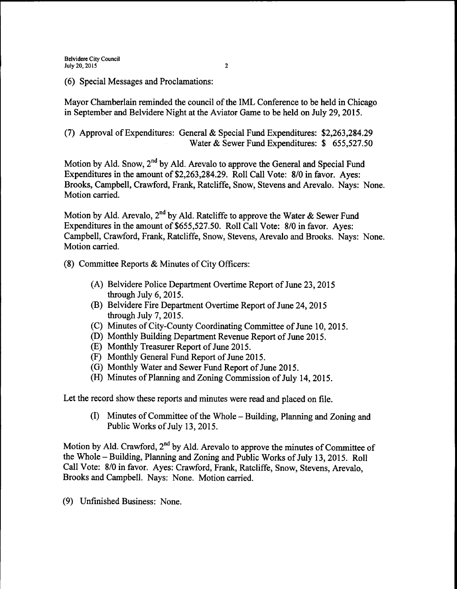6) Special Messages and Proclamations:

Mayor Chamberlain reminded the council of the IML Conference to be held in Chicago in September and Belvidere Night at the Aviator Game to be held on July 29, 2015.

7) Approval ofExpenditures: General & Special Fund Expenditures: \$2,263, 284.29 Water & Sewer Fund Expenditures: \$ 655,527.50

Motion by Ald. Snow, 2<sup>nd</sup> by Ald. Arevalo to approve the General and Special Fund Expenditures in the amount of \$2,263,284.29. Roll Call Vote: 8/0 in favor. Aves: Brooks, Campbell, Crawford, Frank, Ratcliffe, Snow, Stevens and Arevalo. Nays: None. Motion carried.

Motion by Ald. Arevalo,  $2^{nd}$  by Ald. Ratcliffe to approve the Water & Sewer Fund Expenditures in the amount of \$655, 527, 50. Roll Call Vote: 8/0 in favor. Aves: Campbell, Crawford, Frank, Ratcliffe, Snow, Stevens, Arevalo and Brooks. Nays: None. Motion carried.

- 8) Committee Reports & Minutes of City Officers:
	- A) Belvidere Police Department Overtime Report of June 23, 2015 through July 6, 2015.
	- B) Belvidere Fire Department Overtime Report of June 24, 2015 through July 7, 2015.
	- C) Minutes of City-County Coordinating Committee of June 10, 2015.
	- D) Monthly Building Department Revenue Report of June 2015.
	- E) Monthly Treasurer Report of June 2015.
	- F) Monthly General Fund Report of June 2015.
	- G) Monthly Water and Sewer Fund Report of June 2015.
	- (H) Minutes of Planning and Zoning Commission of July 14, 2015.

Let the record show these reports and minutes were read and placed on file.

(I) Minutes of Committee of the Whole – Building, Planning and Zoning and Public Works of July 13, 2015.

Motion by Ald. Crawford, 2<sup>nd</sup> by Ald. Arevalo to approve the minutes of Committee of the Whole—Building, Planning and Zoning and Public Works of July 13, 2015. Roll Call Vote: 8/0 in favor. Ayes: Crawford, Frank, Ratcliffe, Snow, Stevens, Arevalo, Brooks and Campbell. Nays: None. Motion carried.

9) Unfinished Business: None.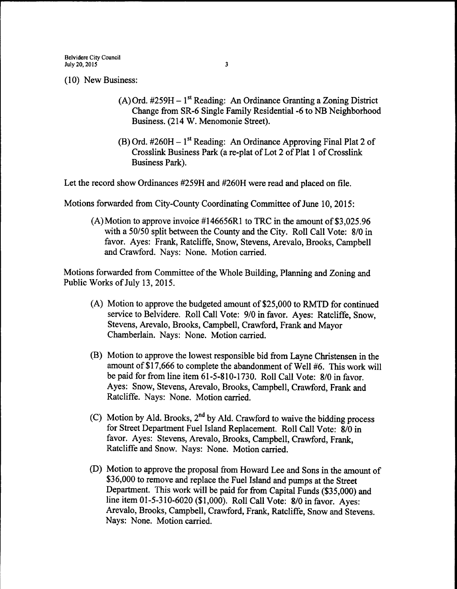10) New Business:

- A) Ord. #259H 1<sup>st</sup> Reading: An Ordinance Granting a Zoning District Change from SR-6 Single Family Residential -6 to NB Neighborhood Business. ( 214 W. Menomonie Street).
- B) Ord. #260H 1<sup>st</sup> Reading: An Ordinance Approving Final Plat 2 of Crosslink Business Park (a re-plat of Lot 2 of Plat 1 of Crosslink Business Park).

Let the record show Ordinances #259H and #260H were read and placed on file.

Motions forwarded from City-County Coordinating Committee of June 10, 2015:

(A)Motion to approve invoice  $\#146656R1$  to TRC in the amount of \$3,025.96 with a 50/50 split between the County and the City. Roll Call Vote: 8/0 in favor. Ayes: Frank, Ratcliffe, Snow, Stevens, Arevalo, Brooks, Campbell and Crawford. Nays: None. Motion carried.

Motions forwarded from Committee of the Whole Building, Planning and Zoning and Public Works of July 13, 2015.

- (A) Motion to approve the budgeted amount of \$25,000 to RMTD for continued service to Belvidere. Roll Call Vote: 9/0 in favor. Ayes: Ratcliffe, Snow, Stevens, Arevalo, Brooks, Campbell, Crawford, Frank and Mayor Chamberlain. Nays: None. Motion carried.
- B) Motion to approve the lowest responsible bid from Layne Christensen in the amount of \$17,666 to complete the abandonment of Well #6. This work will be paid for from line item 61-5-810-1730. Roll Call Vote: 8/0 in favor. Ayes: Snow, Stevens, Arevalo, Brooks, Campbell, Crawford, Frank and Ratcliffe. Nays: None. Motion carried.
- C) Motion by Ald. Brooks,  $2<sup>nd</sup>$  by Ald. Crawford to waive the bidding process for Street Department Fuel Island Replacement. Roll Call Vote: 8/0 in favor. Ayes: Stevens, Arevalo, Brooks, Campbell, Crawford, Frank, Ratcliffe and Snow. Nays: None. Motion carried.
- D) Motion to approve the proposal from Howard Lee and Sons in the amount of \$36,000 to remove and replace the Fuel Island and pumps at the Street Department. This work will be paid for from Capital Funds (\$35, 000) and line item 01-5-310-6020 (\$1,000). Roll Call Vote: 8/0 in favor. Ayes: Arevalo, Brooks, Campbell, Crawford, Frank, Ratcliffe, Snow and Stevens. Nays: None. Motion carried.